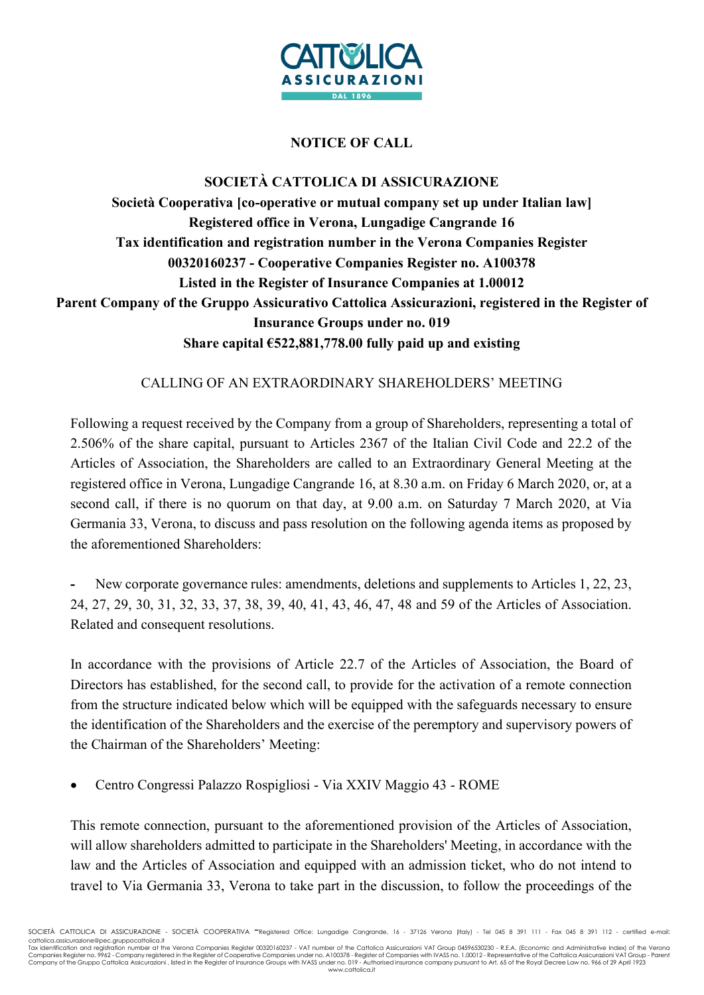

## NOTICE OF CALL

## SOCIETÀ CATTOLICA DI ASSICURAZIONE Società Cooperativa [co-operative or mutual company set up under Italian law] Registered office in Verona, Lungadige Cangrande 16 Tax identification and registration number in the Verona Companies Register 00320160237 - Cooperative Companies Register no. A100378 Listed in the Register of Insurance Companies at 1.00012 Parent Company of the Gruppo Assicurativo Cattolica Assicurazioni, registered in the Register of Insurance Groups under no. 019 Share capital €522,881,778.00 fully paid up and existing

## CALLING OF AN EXTRAORDINARY SHAREHOLDERS' MEETING

Following a request received by the Company from a group of Shareholders, representing a total of 2.506% of the share capital, pursuant to Articles 2367 of the Italian Civil Code and 22.2 of the Articles of Association, the Shareholders are called to an Extraordinary General Meeting at the registered office in Verona, Lungadige Cangrande 16, at 8.30 a.m. on Friday 6 March 2020, or, at a second call, if there is no quorum on that day, at 9.00 a.m. on Saturday 7 March 2020, at Via Germania 33, Verona, to discuss and pass resolution on the following agenda items as proposed by the aforementioned Shareholders:

New corporate governance rules: amendments, deletions and supplements to Articles 1, 22, 23, 24, 27, 29, 30, 31, 32, 33, 37, 38, 39, 40, 41, 43, 46, 47, 48 and 59 of the Articles of Association. Related and consequent resolutions.

In accordance with the provisions of Article 22.7 of the Articles of Association, the Board of Directors has established, for the second call, to provide for the activation of a remote connection from the structure indicated below which will be equipped with the safeguards necessary to ensure the identification of the Shareholders and the exercise of the peremptory and supervisory powers of the Chairman of the Shareholders' Meeting:

Centro Congressi Palazzo Rospigliosi - Via XXIV Maggio 43 - ROME

This remote connection, pursuant to the aforementioned provision of the Articles of Association, will allow shareholders admitted to participate in the Shareholders' Meeting, in accordance with the law and the Articles of Association and equipped with an admission ticket, who do not intend to travel to Via Germania 33, Verona to take part in the discussion, to follow the proceedings of the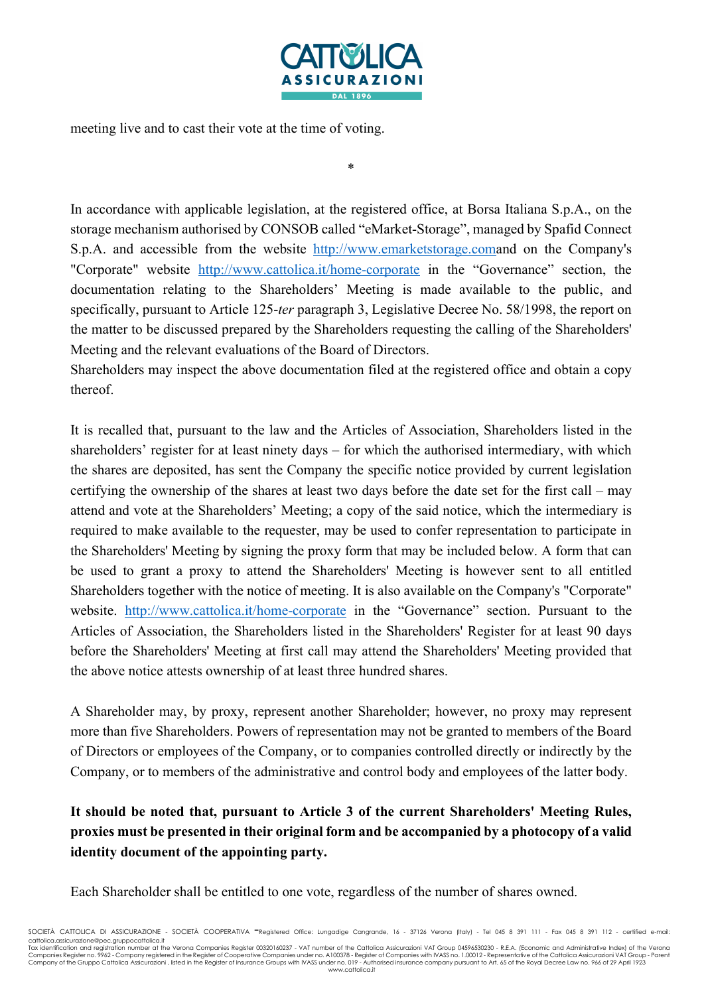

meeting live and to cast their vote at the time of voting.

\*

In accordance with applicable legislation, at the registered office, at Borsa Italiana S.p.A., on the storage mechanism authorised by CONSOB called "eMarket-Storage", managed by Spafid Connect S.p.A. and accessible from the website http://www.emarketstorage.comand on the Company's "Corporate" website http://www.cattolica.it/home-corporate in the "Governance" section, the documentation relating to the Shareholders' Meeting is made available to the public, and specifically, pursuant to Article 125-ter paragraph 3, Legislative Decree No. 58/1998, the report on the matter to be discussed prepared by the Shareholders requesting the calling of the Shareholders' Meeting and the relevant evaluations of the Board of Directors.

Shareholders may inspect the above documentation filed at the registered office and obtain a copy thereof.

It is recalled that, pursuant to the law and the Articles of Association, Shareholders listed in the shareholders' register for at least ninety days – for which the authorised intermediary, with which the shares are deposited, has sent the Company the specific notice provided by current legislation certifying the ownership of the shares at least two days before the date set for the first call – may attend and vote at the Shareholders' Meeting; a copy of the said notice, which the intermediary is required to make available to the requester, may be used to confer representation to participate in the Shareholders' Meeting by signing the proxy form that may be included below. A form that can be used to grant a proxy to attend the Shareholders' Meeting is however sent to all entitled Shareholders together with the notice of meeting. It is also available on the Company's "Corporate" website. http://www.cattolica.it/home-corporate in the "Governance" section. Pursuant to the Articles of Association, the Shareholders listed in the Shareholders' Register for at least 90 days before the Shareholders' Meeting at first call may attend the Shareholders' Meeting provided that the above notice attests ownership of at least three hundred shares.

A Shareholder may, by proxy, represent another Shareholder; however, no proxy may represent more than five Shareholders. Powers of representation may not be granted to members of the Board of Directors or employees of the Company, or to companies controlled directly or indirectly by the Company, or to members of the administrative and control body and employees of the latter body.

## It should be noted that, pursuant to Article 3 of the current Shareholders' Meeting Rules, proxies must be presented in their original form and be accompanied by a photocopy of a valid identity document of the appointing party.

Each Shareholder shall be entitled to one vote, regardless of the number of shares owned.

Tax identification and registration number at the Verona Companies Register 00320160237 - VAT number of the Cattolica Assicurazioni VAT Group 04596530230 - R.E.A. (Economic and Administrative Index) of the Verona<br>Companies www.cattolica.it